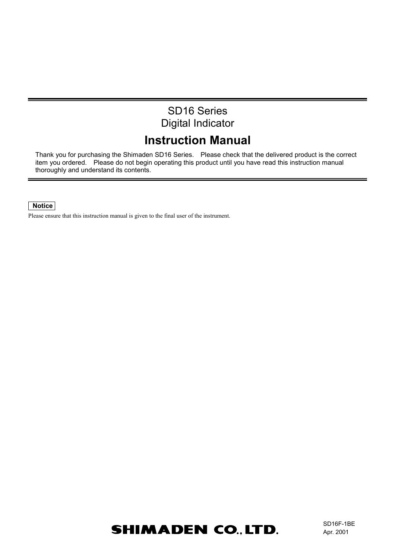# SD16 Series Digital Indicator

# **Instruction Manual**

Thank you for purchasing the Shimaden SD16 Series. Please check that the delivered product is the correct item you ordered. Please do not begin operating this product until you have read this instruction manual thoroughly and understand its contents.

# **Notice**

Please ensure that this instruction manual is given to the final user of the instrument.

# **SHIMADEN CO., LTD.**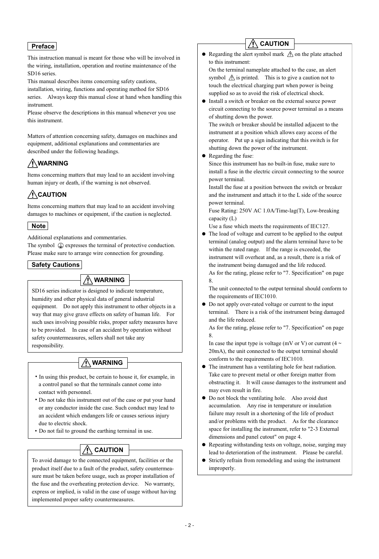# **Preface**

This instruction manual is meant for those who will be involved in the wiring, installation, operation and routine maintenance of the SD<sub>16</sub> series.

This manual describes items concerning safety cautions,

installation, wiring, functions and operating method for SD16 series. Always keep this manual close at hand when handling this instrument.

Please observe the descriptions in this manual whenever you use this instrument.

Matters of attention concerning safety, damages on machines and equipment, additional explanations and commentaries are described under the following headings.

# **WARNING**

Items concerning matters that may lead to an accident involving human injury or death, if the warning is not observed.

# **CAUTION**

Items concerning matters that may lead to an accident involving damages to machines or equipment, if the caution is neglected.

# **Note**

Additional explanations and commentaries.

The symbol  $\mathcal{Q}$  expresses the terminal of protective conduction. Please make sure to arrange wire connection for grounding.

# **Safety Cautions**

# **WARNING**

SD16 series indicator is designed to indicate temperature, humidity and other physical data of general industrial equipment. Do not apply this instrument to other objects in a way that may give grave effects on safety of human life. For such uses involving possible risks, proper safety measures have to be provided. In case of an accident by operation without safety countermeasures, sellers shall not take any responsibility.

# **WARNING**

• In using this product, be certain to house it, for example, in a control panel so that the terminals cannot come into contact with personnel.

• Do not take this instrument out of the case or put your hand or any conductor inside the case. Such conduct may lead to an accident which endangers life or causes serious injury due to electric shock.

• Do not fail to ground the earthing terminal in use.

# **CAUTION**

To avoid damage to the connected equipment, facilities or the product itself due to a fault of the product, safety countermeasure must be taken before usage, such as proper installation of the fuse and the overheating protection device. No warranty, express or implied, is valid in the case of usage without having implemented proper safety countermeasures.

# **CAUTION**

• Regarding the alert symbol mark  $\triangle$  on the plate attached to this instrument:

On the terminal nameplate attached to the case, an alert symbol  $\triangle$  is printed. This is to give a caution not to touch the electrical charging part when power is being supplied so as to avoid the risk of electrical shock.

Install a switch or breaker on the external source power circuit connecting to the source power terminal as a means of shutting down the power.

The switch or breaker should be installed adjacent to the instrument at a position which allows easy access of the operator. Put up a sign indicating that this switch is for shutting down the power of the instrument.

• Regarding the fuse:

Since this instrument has no built-in fuse, make sure to install a fuse in the electric circuit connecting to the source power terminal.

Install the fuse at a position between the switch or breaker and the instrument and attach it to the L side of the source power terminal.

Fuse Rating: 250V AC 1.0A/Time-lag(T), Low-breaking capacity (L)

- Use a fuse which meets the requirements of IEC127.
- The load of voltage and current to be applied to the output terminal (analog output) and the alarm terminal have to be within the rated range. If the range is exceeded, the instrument will overheat and, as a result, there is a risk of the instrument being damaged and the life reduced.
	- As for the rating, please refer to "7. Specification" on page 8.

The unit connected to the output terminal should conform to the requirements of IEC1010.

Do not apply over-rated voltage or current to the input  $\bullet$ terminal. There is a risk of the instrument being damaged and the life reduced.

As for the rating, please refer to "7. Specification" on page 8.

In case the input type is voltage (mV or V) or current (4  $\sim$ 20mA), the unit connected to the output terminal should conform to the requirements of IEC1010.

- The instrument has a ventilating hole for heat radiation. Take care to prevent metal or other foreign matter from obstructing it. It will cause damages to the instrument and may even result in fire.
- Do not block the ventilating hole. Also avoid dust accumulation. Any rise in temperature or insulation failure may result in a shortening of the life of product and/or problems with the product. As for the clearance space for installing the instrument, refer to "2-3 External dimensions and panel cutout" on page 4.
- Repeating withstanding tests on voltage, noise, surging may lead to deterioration of the instrument. Please be careful.
- Strictly refrain from remodeling and using the instrument improperly.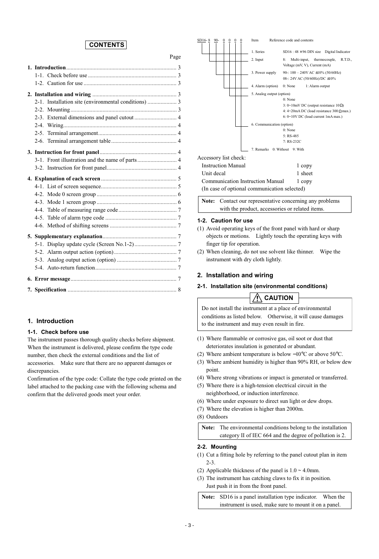# **CONTENTS**

Page

# **1. Introduction**

#### **1-1. Check before use**

The instrument passes thorough quality checks before shipment. When the instrument is delivered, please confirm the type code number, then check the external conditions and the list of accessories. Make sure that there are no apparent damages or discrepancies.

Confirmation of the type code: Collate the type code printed on the label attached to the packing case with the following schema and confirm that the delivered goods meet your order.



**Note:** Contact our representative concerning any problems with the product, accessories or related items.

## **1-2. Caution for use**

- (1) Avoid operating keys of the front panel with hard or sharp objects or motions. Lightly touch the operating keys with finger tip for operation.
- (2) When cleaning, do not use solvent like thinner. Wipe the instrument with dry cloth lightly.

## **2. Installation and wiring**

## **2-1. Installation site (environmental conditions)**

**CAUTION**

Do not install the instrument at a place of environmental conditions as listed below. Otherwise, it will cause damages to the instrument and may even result in fire.

- (1) Where flammable or corrosive gas, oil soot or dust that deteriorates insulation is generated or abundant.
- (2) Where ambient temperature is below −10°C or above 50°C.
- (3) Where ambient humidity is higher than 90% RH, or below dew point.
- (4) Where strong vibrations or impact is generated or transferred.
- (5) Where there is a high-tension electrical circuit in the neighborhood, or induction interference.
- (6) Where under exposure to direct sun light or dew drops.
- (7) Where the elevation is higher than 2000m.
- (8) Outdoors

**Note:** The environmental conditions belong to the installation category II of IEC 664 and the degree of pollution is 2.

#### **2-2. Mounting**

- (1) Cut a fitting hole by referring to the panel cutout plan in item  $2 - 3$
- (2) Applicable thickness of the panel is  $1.0 \sim 4.0$ mm.
- (3) The instrument has catching claws to fix it in position. Just push it in from the front panel.

**Note:** SD16 is a panel installation type indicator. When the instrument is used, make sure to mount it on a panel.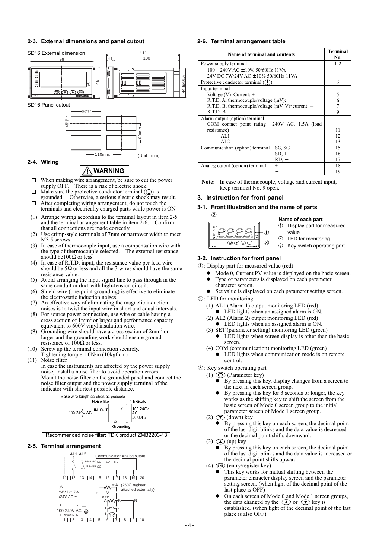### **2-3. External dimensions and panel cutout**





### **2-6. Terminal arrangement table**

| Name of terminal and contents                         | <b>Terminal</b><br>No. |
|-------------------------------------------------------|------------------------|
| Power supply terminal                                 | $1 - 2$                |
| $100 - 240V$ AC ± $10\%$ 50/60Hz 11VA                 |                        |
| 24V DC 7W/24V AC ± 10% 50/60Hz 11VA                   |                        |
| Protective conductor terminal $(\perp)$ )             | 3                      |
| Input terminal                                        |                        |
| Voltage $(V)$ Current: +                              | 5                      |
| R.T.D. A, thermocouple/voltage $(mV)$ : +             | 6                      |
| R.T.D. B, thermocouple/voltage $(mV, V)$ current: $-$ |                        |
| R.T.D. B                                              | 9                      |
| Alarm output (option) terminal                        |                        |
| COM contact point rating 240V AC, 1.5A (load          |                        |
| resistance)                                           | 11                     |
| AI.1                                                  | 12                     |
| AI.2                                                  | 13                     |
| SG SG<br>Communication (option) terminal              | 15                     |
| $SD, +$                                               | 16                     |
| RD, –                                                 | 17                     |
| Analog output (option) terminal<br>$^{+}$             | 18                     |
|                                                       | 19                     |

**Note:** In case of thermocouple, voltage and current input, keep terminal No. 9 open.

### **3. Instruction for front panel**

## **3-1. Front illustration and the name of parts**

 $\widehat{\mathcal{O}}$  $\frac{1}{2}$ ののの

### **Name of each part**

- $\mathfrak D$  Display part for measured value
- LED for monitoring  $^{\circledR}$
- Key switch operating part 3

#### **3-2. Instruction for front panel**

- : Display part for measured value (red) 1
	- Mode 0, Current PV value is displayed on the basic screen.
	- Type of parameters is displayed on each parameter character screen.
	- Set value is displayed on each parameter setting screen.

## : LED for monitoring 2

- (1)AL1 (Alarm 1) output monitoring LED (red)
- LED lights when an assigned alarm is ON.
- (2)AL2 (Alarm 2) output monitoring LED (red)
- LED lights when an assigned alarm is ON.
- (3) SET (parameter setting) monitoring LED (green) LED lights when screen display is other than the basic screen.
- (4) COM (communication) monitoring LED (green) LED lights when communication mode is on remote control.

### : Key switch operating part 3

- (1)  $\odot$  (Parameter key)
	- By pressing this key, display changes from a screen to the next in each screen group.
	- By pressing this key for 3 seconds or longer, the key works as the shifting key to shift the screen from the basic screen of Mode 0 screen group to the initial parameter screen of Mode 1 screen group.
- (2)  $\odot$  (down) key
	- By pressing this key on each screen, the decimal point of the last digit blinks and the data value is decreased or the decimal point shifts downward.
- $(3)$  (up) key
	- By pressing this key on each screen, the decimal point of the last digit blinks and the data value is increased or the decimal point shifts upward.
- (4) **ENT** (entry/register key)
	- This key works for mutual shifting between the parameter character display screen and the parameter setting screen. (when light of the decimal point of the last place is OFF)
	- On each screen of Mode 0 and Mode 1 screen groups, the data changed by the  $\odot$  or  $\odot$  key is established. (when light of the decimal point of the last place is also OFF)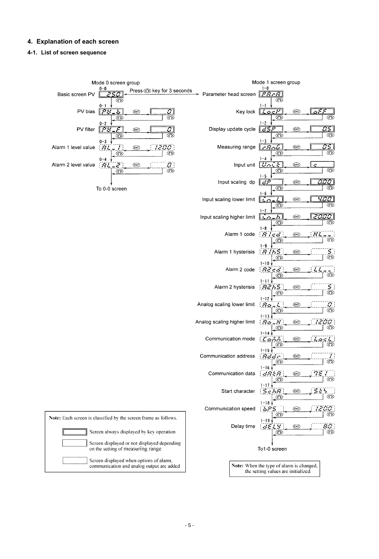# **4. Explanation of each screen**

# **4-1. List of screen sequence**

|                     | Mode 0 screen group                                                                  |                             | Mode 1 screen group                                                             |
|---------------------|--------------------------------------------------------------------------------------|-----------------------------|---------------------------------------------------------------------------------|
| Basic screen PV     | 0-0<br>Press o key for 3 seconds<br>250<br>⊙                                         | Parameter head screen       | $1 - 0$<br>$F \ddot{R} F R$<br>⊙                                                |
| PV bias             | 0-1<br>তম<br>$\overline{b}$<br>$\mathbb{Z}$<br>(ENT)<br>⊙<br>⊚                       | Key lock                    | $1 - 1$<br>$L$ oc $F$<br>aFF<br><b>ENT</b><br>$_{\odot}$<br>⊙                   |
| PV filter           | 0-2<br>स्थि<br>$\varSigma$<br>$\mathcal{F}$<br>(ENT)<br>⊙<br>⊙                       | Display update cycle        | $1 - 2$<br>$\mathbb{Z}51$<br>35P<br>(ENT)<br>ಾ<br>⊚                             |
| Alarm 1 level value | $0 - 3$<br>1200<br>$\overline{\mathcal{H}}$<br><b>ENT</b><br>$\frac{1}{2}$<br>⊙      | Measuring range             | $1 - 3$<br>$\sigma$ s l<br>$\sqrt{F}$<br>(ENT)<br>$\overline{\circ}$<br>⊙       |
| Alarm 2 level value | ⊙<br>$0 - 4$<br>$\sigma$ .<br>$\sum_{i=1}^{\infty}$<br>$-Bt$<br><b>ENT</b><br>⊙      | Input unit                  | $1 - 4$<br><b>Heilk</b><br>ENT<br>Ċ<br>$\circledcirc$<br>$^\copyright$          |
|                     | ⊙                                                                                    | Input scaling dp            | $1 - 5$<br><b>COOCI</b><br>27<br><b>ENT</b><br>⊙<br>⊙                           |
|                     | To 0-0 screen                                                                        | Input scaling lower limit   | $1 - 6$<br><u>प्रद्यान</u><br>(ENT)<br>$\overline{1}$                           |
|                     |                                                                                      | Input scaling higher limit  | ⊙<br>⊙<br>$1 - 7$<br><u>h</u><br>(ENT)<br>يتعيقوا                               |
|                     |                                                                                      | Alarm 1 code                | ⊙<br>⊙<br>$1 - 8$<br>$R$ <i>icd</i><br>(ENT)<br>මි                              |
|                     |                                                                                      | Alarm 1 hysterisis          | ⊙<br>$1 - 9$<br>87755<br>S<br>S<br>(ENT)                                        |
|                     |                                                                                      | Alarm 2 code                | ⊙<br>$1 - 10$<br>$B \vec{e}$ cd<br>(ENT)                                        |
|                     |                                                                                      | Alarm 2 hysterisis          | ತ<br>⊙<br>$1 - 11$<br><b>Achs</b><br>(ENT)                                      |
|                     |                                                                                      | Analog scaling lower limit  | S<br>©<br>⊙<br>$1 - 12$<br>ENT                                                  |
|                     |                                                                                      |                             | $\frac{7}{2}$<br>$H_{\mathcal{O}}$<br>يز .<br>⊙<br>$1 - 13$                     |
|                     |                                                                                      | Analog scaling higher limit | 70<br>$H_2 - H$<br>(ENT)<br>⊙<br>⊙<br>$1 - 14$                                  |
|                     |                                                                                      | Communication mode          | Laivi<br>ENT)<br>$\overleftarrow{\odot}$<br>⊙<br>$1 - 15$                       |
|                     |                                                                                      | Communication address       | Rddr<br><b>ENT</b><br>⊙<br>ာ<br>$1 - 16$                                        |
|                     |                                                                                      | Communication data          | $\eta\varepsilon$<br>$  \, dBER$<br>(ENT)<br>⊙<br>∞<br>$1 - 17$                 |
|                     |                                                                                      | Start character             | SE<br>5chR<br>۸<br>(ENT)<br>⊙<br>⊙                                              |
|                     | Note: Each screen is classified by the screen frame as follows.                      | Communication speed         | $1 - 18$<br><b>16PS</b><br>(ENT)<br>⊙<br>⊙                                      |
|                     | Screen always displayed by key operation                                             | Delay time                  | $1 - 19$<br>80.<br>dELY<br>(ENT)<br>$\odot$<br>⊙                                |
|                     | Screen displayed or not displayed depending<br>on the setting of measuring range     |                             | To1-0 screen                                                                    |
|                     | Screen displayed when options of alarm,<br>communication and analog output are added |                             | Note: When the type of alarm is changed,<br>the setting values are initialized. |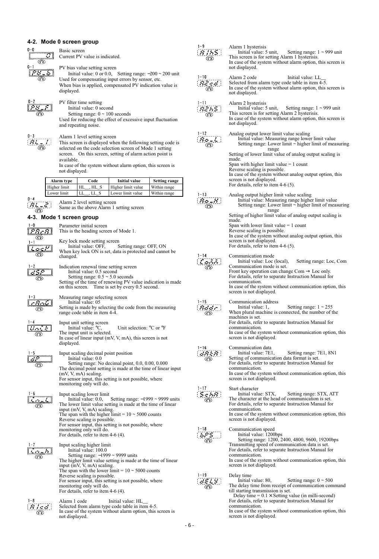# **4-2. Mode 0 screen group**

| 0-0<br>⊙<br>$0 - 1$                 | Basic screen<br>Current PV value is indicated.<br>PV bias value setting screen                                                                                                                                                                                                                                                                                 | $1 - 9$<br>Ŧ.                               | Alarm 1 hysterisis<br>Initial value: 5 unit,<br>Setting range: $1 \sim 999$ unit<br>This screen is for setting Alarm 1 hysterisis.<br>In case of the system without alarm option, this screen is<br>not displayed.                                                                                                                                                                                           |
|-------------------------------------|----------------------------------------------------------------------------------------------------------------------------------------------------------------------------------------------------------------------------------------------------------------------------------------------------------------------------------------------------------------|---------------------------------------------|--------------------------------------------------------------------------------------------------------------------------------------------------------------------------------------------------------------------------------------------------------------------------------------------------------------------------------------------------------------------------------------------------------------|
|                                     | Initial value: 0 or 0.0, Setting range: $-200 \approx 200$ unit<br>Used for compensating input errors by sensor, etc.<br>When bias is applied, compensated PV indication value is<br>displayed.                                                                                                                                                                | $1 - 10$<br>$R2$ of $\mid$                  | Alarm 2 code<br>Initial value: LL<br>Selected from alarm type code table in item 4-5.<br>In case of the system without alarm option, this screen is<br>not displayed.                                                                                                                                                                                                                                        |
|                                     | PV filter time setting<br>Initial value: 0 second<br>Setting range: $0 \sim 100$ seconds<br>Used for reducing the effect of excessive input fluctuation<br>and repeating noise.                                                                                                                                                                                | $1 - 11$<br><i><b>A2653</b></i><br>ಾ        | Alarm 2 hysterisis<br>Initial value: 5 unit,<br>Setting range: $1 \sim 999$ unit<br>This screen is for setting Alarm 2 hysterisis.<br>In case of the system without alarm option, this screen is<br>not displayed.                                                                                                                                                                                           |
|                                     | Alarm 1 level setting screen<br>This screen is displayed when the following setting code is<br>selected on the code selection screen of Mode 1 setting<br>screen. On this screen, setting of alarm action point is<br>available.<br>In case of the system without alarm option, this screen is<br>not displayed.                                               | $1 - 12$<br>$\overline{\mathcal{B}}$ o (L.) | Analog output lower limit value scaling<br>Initial value: Measuring range lower limit value<br>Setting range: Lower limit $\sim$ higher limit of measuring<br>range<br>Setting of lower limit value of analog output scaling is<br>made.<br>Span with higher limit value $= 1$ count<br>Reverse scaling is possible.<br>In case of the system without analog output option, this<br>screen is not displayed. |
|                                     | Alarm type<br>Code<br><b>Initial value</b><br><b>Setting range</b><br>$HL$ , $HL$ <sub>S</sub><br>Higher limit<br>Higher limit value<br>Within range<br>$LL$ <sub>, LL</sub> S<br>Lower limit<br>Within range<br>Lower limit value                                                                                                                             |                                             | For details, refer to item $4-6(5)$ .                                                                                                                                                                                                                                                                                                                                                                        |
| $0 - 4$                             | Alarm 2 level setting screen<br>Same as the above Alarm 1 setting screen                                                                                                                                                                                                                                                                                       | $1 - 13$<br>8e.K.                           | Analog output higher limit value scaling<br>Initial value: Measuring range higher limit value<br>Setting range: Lower limit $\sim$ higher limit of measuring                                                                                                                                                                                                                                                 |
| $1 - 0$<br><u> PREBI</u><br>$\odot$ | 4-3. Mode 1 screen group<br>Parameter initial screen<br>This is the heading screen of Mode 1.<br>Key lock mode setting screen<br>Initial value: OFF,<br>Setting range: OFF, ON                                                                                                                                                                                 |                                             | range<br>Setting of higher limit value of analog output scaling is<br>made.<br>Span with lower limit value $= 1$ count<br>Reverse scaling is possible.<br>In case of the system without analog output option, this<br>screen is not displayed.<br>For details, refer to item $4-6(5)$ .                                                                                                                      |
|                                     | When key lock ON is set, data is protected and cannot be<br>changed.<br>Indication renewal time setting screen<br>Initial value: 0.5 second<br>Setting range: $0.5 \sim 5.0$ seconds<br>Setting of the time of renewing PV value indication is made<br>on this screen. Time is set by every 0.5 second.                                                        |                                             | Communication mode<br>Initial value: Loc (local),<br>Setting range: Loc, Com<br>Communication mode is set.<br>Front key operation can change Com $\rightarrow$ Loc only.<br>For details, refer to separate Instruction Manual for<br>communication.<br>In case of the system without communication option, this                                                                                              |
| 1–3                                 | Measuring range selecting screen<br>Initial value: 05<br>Setting is made by selecting the code from the measuring<br>range code table in item 4-4.                                                                                                                                                                                                             | $1 - 15$<br>Rddr.                           | screen is not displayed.<br>Communication address<br>Initial value: 1.<br>Setting range: $1 \sim 255$<br>When plural machine is connected, the number of the<br>machines is set.<br>For details, refer to separate Instruction Manual for                                                                                                                                                                    |
| Meri k<br>⊙                         | Input unit setting screen<br>Unit selection: $^{\circ}$ C or $^{\circ}$ F<br>Initial value: $\mathrm{C}$ .<br>The input unit is selected.<br>In case of linear input $(mV, V, mA)$ , this screen is not<br>displayed.                                                                                                                                          |                                             | communication.<br>In case of the system without communication option, this<br>screen is not displayed.                                                                                                                                                                                                                                                                                                       |
|                                     | Input scaling decimal point position<br>Initial value: 0.0<br>Setting range: No decimal point, 0.0, 0.00, 0.000<br>The decimal point setting is made at the time of linear input<br>$(mV, V, mA)$ scaling.<br>For sensor input, this setting is not possible, where<br>monitoring only will do.                                                                | $1 - 16$                                    | Communication data<br>Setting range: 7E1, 8N1<br>Initial value: 7E1,<br>Setting of communication data format is set.<br>For details, refer to separate Instruction Manual for<br>communication.<br>In case of the system without communication option, this<br>screen is not displayed.                                                                                                                      |
|                                     | Input scaling lower limit<br>Setting range: $-1999 \sim 9999$ units<br>Initial value: 0.0,<br>The lower limit value setting is made at the time of linear<br>input (mV, V, mA) scaling.<br>The span with the higher limit = $10 \approx 5000$ counts<br>Reverse scaling is possible.<br>For sensor input, this setting is not possible, where                  | $1 - 17$                                    | Start character<br>Initial value: STX,<br>Setting range: STX, ATT<br>The character at the head of communication is set.<br>For details, refer to separate Instruction Manual for<br>communication.<br>In case of the system without communication option, this<br>screen is not displayed.                                                                                                                   |
|                                     | monitoring only will do.<br>For details, refer to item $4-6(4)$ .<br>Input scaling higher limit<br>Initial value: 100.0                                                                                                                                                                                                                                        | $1 - 18$<br>625.                            | Communication speed<br>Initial value: 1200bps<br>Setting range: 1200, 2400, 4800, 9600, 19200bps<br>Transmitting speed of communication data is set.<br>For details, refer to separate Instruction Manual for                                                                                                                                                                                                |
|                                     | Setting range: $-1999 \sim 9999$ units<br>The higher limit value setting is made at the time of linear<br>input (mV, V, mA) scaling.<br>The span with the lower limit = $10 \approx 5000$ counts<br>Reverse scaling is possible.<br>For sensor input, this setting is not possible, where<br>monitoring only will do.<br>For details, refer to item $4-6(4)$ . | $1 - 19$<br>3E L S                          | communication.<br>In case of the system without communication option, this<br>screen is not displayed.<br>Delay time<br>Initial value: 80,<br>Setting range: $0 \sim 500$<br>The delay time from receipt of communication command<br>till starting transmission is set.                                                                                                                                      |
|                                     | Alarm 1 code<br>Initial value: HL<br>Selected from alarm type code table in item 4-5.<br>In case of the system without alarm option, this screen is<br>not displayed.                                                                                                                                                                                          |                                             | Delay time = $0.1 \times$ Setting value (in milli-second)<br>For details, refer to separate Instruction Manual for<br>communication.<br>In case of the system without communication option, this<br>screen is not displayed.                                                                                                                                                                                 |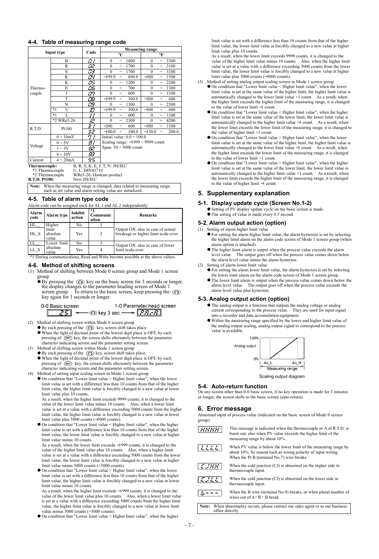#### **4-4. Table of measuring range code**

|                                                                                                                                              |                              |                                | <b>Measuring range</b>                         |                                               |  |  |  |
|----------------------------------------------------------------------------------------------------------------------------------------------|------------------------------|--------------------------------|------------------------------------------------|-----------------------------------------------|--|--|--|
|                                                                                                                                              | Input type                   | Code                           | $^{\circ}C$                                    | $\circ$ F                                     |  |  |  |
|                                                                                                                                              | B                            | 01                             | $\theta$<br>1800<br>$\widetilde{\phantom{m}}$  | 3300<br>$\Omega$<br>$\tilde{\phantom{a}}$     |  |  |  |
|                                                                                                                                              | R                            | $\overline{C}$                 | $\theta$<br>1700<br>$\tilde{\phantom{a}}$      | 3100<br>$\theta$<br>$\tilde{}$                |  |  |  |
|                                                                                                                                              | S                            | 73                             | $\theta$<br>1700<br>$\tilde{\phantom{a}}$      | 3100<br>$\theta$<br>$\widetilde{\phantom{m}}$ |  |  |  |
|                                                                                                                                              | K                            | 54                             | $-199.9$<br>800.0<br>$\tilde{\phantom{a}}$     | $-300$<br>1500<br>$\tilde{\phantom{a}}$       |  |  |  |
|                                                                                                                                              | K                            | S,                             | 1200<br>$\theta$<br>$\tilde{\phantom{a}}$      | 2200<br>$\theta$<br>$\tilde{\phantom{a}}$     |  |  |  |
| Thermo-                                                                                                                                      | E                            | <u> 06</u>                     | $\theta$<br>700<br>$\tilde{\phantom{a}}$       | $\theta$<br>1300<br>$\tilde{\phantom{a}}$     |  |  |  |
| couple                                                                                                                                       | J                            | rr.<br>້                       | $\Omega$<br>600<br>$\tilde{\phantom{a}}$       | 1100<br>$\Omega$<br>$\tilde{\phantom{a}}$     |  |  |  |
|                                                                                                                                              | T                            | œ                              | $-199.9$<br>300.0<br>$\widetilde{\phantom{m}}$ | $-300$<br>600<br>$\tilde{\phantom{a}}$        |  |  |  |
|                                                                                                                                              | N                            | 63                             | 1300<br>$\theta$<br>$\tilde{\phantom{a}}$      | 2300<br>$\theta$<br>$\tilde{\phantom{a}}$     |  |  |  |
|                                                                                                                                              | $*1$<br>U                    | 13                             | $-199.9$<br>300.0<br>$\tilde{\phantom{a}}$     | $-300$<br>600<br>$\tilde{\phantom{a}}$        |  |  |  |
|                                                                                                                                              | $*1$<br>L                    | $\overline{\phantom{a}}$<br>,, | 600<br>$\theta$<br>$\tilde{\phantom{a}}$       | 1100<br>$\theta$<br>$\tilde{\phantom{a}}$     |  |  |  |
|                                                                                                                                              | *2 WRe5-26                   | 12                             | $\Omega$<br>2300<br>$\tilde{\phantom{a}}$      | 4200<br>$\Omega$<br>$\tilde{\phantom{a}}$     |  |  |  |
| R.T.D.                                                                                                                                       | Pt100                        | 37                             | $-200$<br>600<br>$\tilde{\phantom{a}}$         | $-300$<br>1100<br>$\tilde{\phantom{a}}$       |  |  |  |
|                                                                                                                                              |                              | 52                             | 100.0<br>$-100.0$<br>$\tilde{\phantom{a}}$     | $-150.0$<br>200.0<br>$\tilde{}$               |  |  |  |
|                                                                                                                                              | $0 \sim 10$ mV               | 77                             |                                                | Initial value: $0.0 \sim 100.0$               |  |  |  |
|                                                                                                                                              | $0 \sim 5V$                  | 81                             | Scaling range: $-1999 \sim 9999$ count         |                                               |  |  |  |
| Voltage                                                                                                                                      | $1 \sim 5V$                  | 82                             | Span: $10 \sim 5000$ count                     |                                               |  |  |  |
|                                                                                                                                              | $0 \sim 10V$                 | 83                             |                                                |                                               |  |  |  |
| Current                                                                                                                                      | $4 \sim 20 \text{mA}$        | 95                             |                                                |                                               |  |  |  |
| Thermocouple:                                                                                                                                |                              |                                | B, R, S, K, E, J, T, N: JIS/IEC                |                                               |  |  |  |
| *1 Thermocouple                                                                                                                              |                              | U, L: DIN43710                 |                                                |                                               |  |  |  |
| *2 Thermocouple                                                                                                                              |                              |                                | WRe5-26: Hoskins product                       |                                               |  |  |  |
|                                                                                                                                              | R.T.D. Pt100:<br>New JIS/JEC |                                |                                                |                                               |  |  |  |
| When the measuring range is changed, data related to measuring range,<br>Note:<br>such as set value and alarm setting value are initialized. |                              |                                |                                                |                                               |  |  |  |

#### **4-5. Table of alarm type code**

| Alarm code can be assigned each for AL 1 and AL 2 independently.              |                            |                   |                         |                                                                          |
|-------------------------------------------------------------------------------|----------------------------|-------------------|-------------------------|--------------------------------------------------------------------------|
| Alarm<br>code                                                                 | Alarm type                 | Inhibit<br>action | *1<br>Communic<br>ation | <b>Remarks</b>                                                           |
| <b>HL</b>                                                                     | Higher                     | No                |                         |                                                                          |
| $HL_S$                                                                        | limit<br>absolute<br>value | Yes               | 2                       | Output ON, also in case of sensor<br>breakage or higher limit scale-over |
| LL.                                                                           | Lower limit                | No                |                         | Output ON, also in case of lower                                         |
| absolute<br>LL S<br>value                                                     |                            | Yes               | $\overline{4}$          | limit scale-over                                                         |
| *1 During communications, Read and Write become possible at the above values. |                            |                   |                         |                                                                          |

# **4-6. Method of shifting screens**

- (1) Method of shifting between Mode 0 screen group and Mode 1 screen group
	- $\bullet$  By pressing the  $\circledcirc$  key on the basic screen for 3 seconds or longer, the display changes to the parameter heading screen of Mode 1 screen group. To return to the basic screen, keep pressing the key again for 3 seconds or longer.

| 0-0 Basic screen | 1-0 Parameter head screen                                                 |
|------------------|---------------------------------------------------------------------------|
|                  | $\sqrt{25}$ $\leftarrow$ $\odot$ key 3 sec. $\rightarrow$ $\sqrt{25 - 7}$ |

- (2) Method of shifting screen within Mode 0 screen group
	- $\bullet$  By each pressing of the  $\circled{C}$  key, screen shift takes place. When the light of decimal point of the lowest digit place is OFF, by each pressing of **ENT** key, the screen shifts alternately between the parameter character indicating screen and the parameter setting screen.
- (3) Method of shifting screen within Mode 1 screen group
	- By each pressing of the  $\bigcirc$  key, screen shift takes place. When the light of decimal point of the lowest digit place is OFF, by each pressing of **ENT** key, the screen shifts alternately between the parameter character indicating screen and the parameter setting screen.
- 
- (4) Method of setting input scaling screen in Mode 1 screen group On condition that "Lower limit value < Higher limit value", when the lower limit value is set with a difference less than 10 counts from that of the higher limit value, the higher limit value is forcibly changed to a new value at lower limit value plus 10 counts.

As a result, when the higher limit exceeds 9999 counts, it is changed to the value of the lower limit value minus 10 counts. Also, when a lower limit value is set at a value with a difference exceeding 5000 counts from the higher limit value, the higher limit value is forcibly changed to a new value at lower limit value plus 5000 counts (−5000 counts).

On condition that "Lower limit value < Higher limit value", when the higher limit value is set with a difference less than 10 counts from that of the higher limit value, the lower limit value is forcibly changed to a new value at higher limit value minus 10 counts.

As a result, when the lower limit exceeds −1999 counts, it is changed to the value of the higher limit value plus 10 counts. Also, when a higher limit value is set at a value with a difference exceeding 5000 counts from the lower limit value, the lower limit value is forcibly changed to a new value at higher limit value minus 5000 counts (+5000 counts).

On condition that "Lower limit value > Higher limit value", when the lower limit value is set with a difference less than 10 counts from that of the higher limit value, the higher limit value is forcibly changed to a new value at lower limit value minus 10 counts.

As a result, when the higher limit exceeds −1999 counts, it is changed to the value of the lower limit value plus 10 counts. Also, when a lower limit value is set at a value with a difference exceeding 5000 counts from the higher limit value, the higher limit value is forcibly changed to a new value at lower limit value minus 5000 counts (+5000 counts).

On condition that "Lower limit value > Higher limit value", when the higher

limit value is set with a difference less than 10 counts from that of the higher limit value, the lower limit value is forcibly changed to a new value at higher limit value plus 10 counts.

As a result, when the lower limit exceeds 9999 counts, it is changed to the value of the higher limit value minus 10 counts. Also, when the higher limit value is set at a value with a difference exceeding 5000 counts from the lower limit value, the lower limit value is forcibly changed to a new value at higher limit value plus 5000 counts (−5000 counts).

- (5) Method of setting analog output scaling screen in Mode 1 screen group
	- On condition that "Lower limit value < Higher limit value", when the lower limit value is set at the same value of the higher limit, the higher limit value is automatically changed to the lower limit value +1 count. As a result, when the higher limit exceeds the higher limit of the measuring range, it is changed to the value of lower limit −1 count.
	- On condition that "Lower limit value < Higher limit value", when the higher limit value is set at the same value of the lower limit, the lower limit value is automatically changed to the higher limit value −1 count. As a result, when the lower limit exceeds the lower limit of the measuring range, it is changed to the value of higher limit +1 count.
	- On condition that "Lower limit value > Higher limit value", when the lower limit value is set at the same value of the higher limit, the higher limit value is automatically changed to the lower limit value −1 count. As a result, when the higher limit exceeds the lower limit of the measuring range, it is changed to the value of lower limit +1 count.
	- On condition that "Lower limit value > Higher limit value", when the higher limit value is set at the same value of the lower limit, the lower limit value is automatically changed to the higher limit value +1 count. As a result, when the lower limit exceeds the higher limit of the measuring range, it is changed to the value of higher limit −1 count.

#### **5. Supplementary explanation**

#### **5-1. Display update cycle (Screen No.1-2)**

- Setting of PV display update cycle on the basic screen is made.
- The setting of value is made every 0.5 second.

#### **5-2. Alarm output action (option)**

- (1) Setting of alarm higher limit value
	- For setting the alarm higher limit value, the alarm hysterisis is set by selecting the higher limit alarm on the alarm code screen of Mode 1 screen group (when alarm option is attached).
	- The higher limit alarm is output when the process value exceeds the alarm level value. The output goes off when the process value comes down below the alarm level value minus the alarm hysterisis.
- Setting of alarm lower limit value
	- For setting the alarm lower limit value, the alarm hysterisis is set by selecting the lower limit alarm on the alarm code screen of Mode 1 screen group.
	- The lower limit alarm is output when the process value comes down below the alarm level value. The output goes off when the process value exceeds the alarm level value plus hysterisis.

#### **5-3. Analog output action (option)**

- The analog output is a function that outputs the analog voltage or analog current corresponding to the process value. They are used for input signal into a recorder and data accumulation equipment.
- Within the measuring range specified by the lower and higher limit value of the analog output scaling, analog output signal to correspond to the process value is available.



Scaling output diagram

#### **5-4. Auto-return function**

On any screen other than 0-0 basic screen, if no key operation is made for 3 minutes or longer, the screen shifts to the basic screen (auto-return).

#### **6. Error message**

Abnormal input of process value (indicated on the basic screen of Mode 0 screen group)

This message is indicated when the thermocouple or A of R.T.D. is  $\lfloor \textit{HBHH} \rfloor$ burnt out, also when PV value exceeds the higher limit of the measuring range by about 10%.  $7.111$ When PV value is below the lower limit of the measuring range by about 10%, by reason such as wrong polarity of input wiring. When the Pt B (terminal No. 7) wire breaks. When the cold junction (CJ) is abnormal on the higher side in  $\lceil \mathcal{L} \rfloor$ HH $\lceil \mathcal{L} \rfloor$ thermocouple input. When the cold junction (CJ) is abnormal on the lower side in  $\it{ILL}$ thermocouple input. When the B wire (terminal No.9) breaks, or when plural number of  $5 -$ wires out of  $A \cdot B \cdot B$  break. **Note:** When abnormality occurs, please contact our sales agent or to our business office directly.